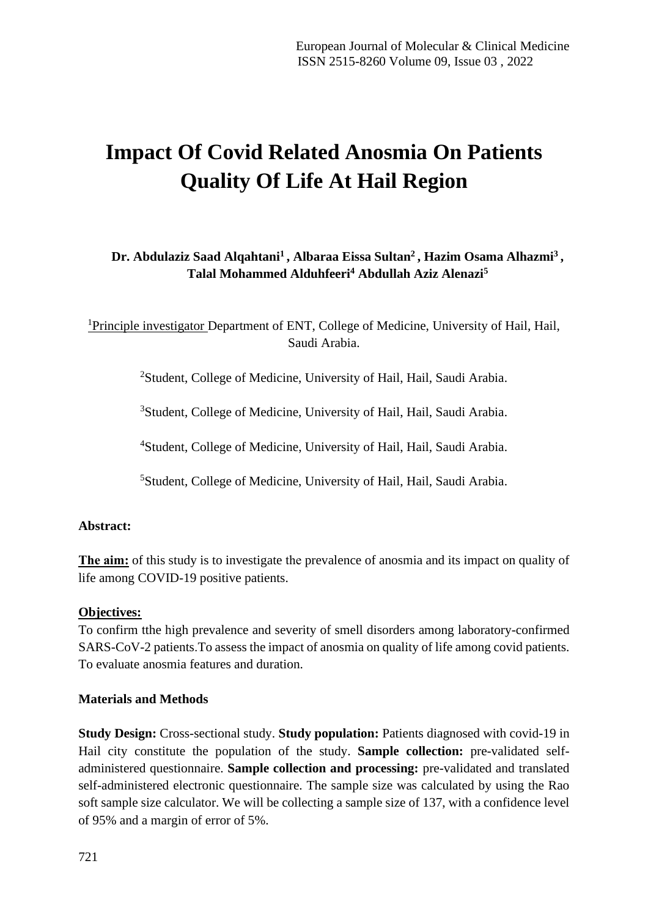# **Impact Of Covid Related Anosmia On Patients Quality Of Life At Hail Region**

# **Dr. Abdulaziz Saad Alqahtani<sup>1</sup> , Albaraa Eissa Sultan<sup>2</sup> , Hazim Osama Alhazmi<sup>3</sup> , Talal Mohammed Alduhfeeri<sup>4</sup> Abdullah Aziz Alenazi<sup>5</sup>**

<sup>1</sup>Principle investigator Department of ENT, College of Medicine, University of Hail, Hail, Saudi Arabia.

<sup>2</sup>Student, College of Medicine, University of Hail, Hail, Saudi Arabia.

<sup>3</sup>Student, College of Medicine, University of Hail, Hail, Saudi Arabia.

<sup>4</sup>Student, College of Medicine, University of Hail, Hail, Saudi Arabia.

<sup>5</sup>Student, College of Medicine, University of Hail, Hail, Saudi Arabia.

# **Abstract:**

**The aim:** of this study is to investigate the prevalence of anosmia and its impact on quality of life among COVID-19 positive patients.

#### **Objectives:**

To confirm tthe high prevalence and severity of smell disorders among laboratory-confirmed SARS-CoV-2 patients.To assess the impact of anosmia on quality of life among covid patients. To evaluate anosmia features and duration.

#### **Materials and Methods**

**Study Design:** Cross-sectional study. **Study population:** Patients diagnosed with covid-19 in Hail city constitute the population of the study. **Sample collection:** pre-validated selfadministered questionnaire. **Sample collection and processing:** pre-validated and translated self-administered electronic questionnaire. The sample size was calculated by using the Rao soft sample size calculator. We will be collecting a sample size of 137, with a confidence level of 95% and a margin of error of 5%.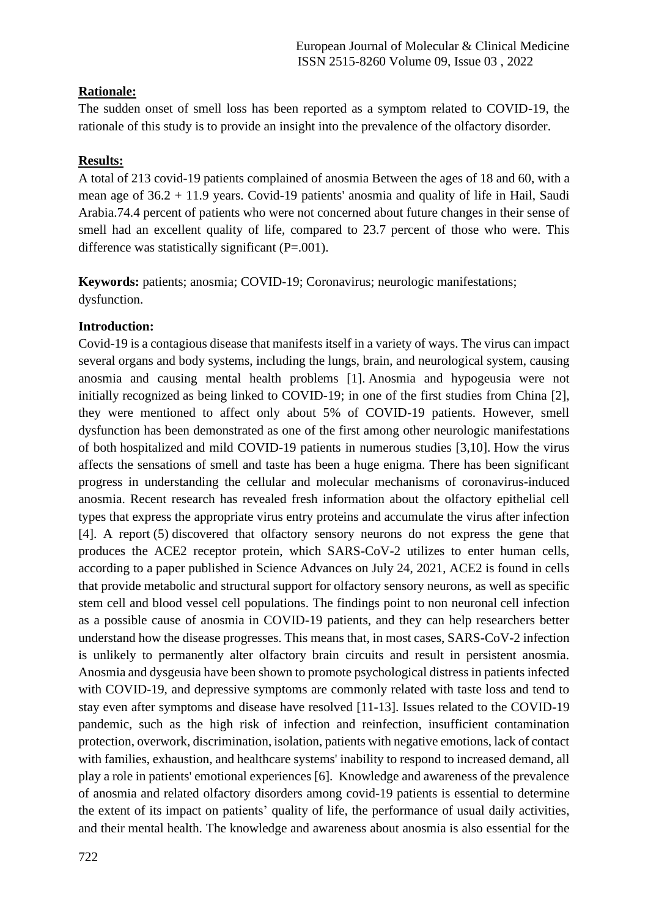# **Rationale:**

The sudden onset of smell loss has been reported as a symptom related to COVID-19, the rationale of this study is to provide an insight into the prevalence of the olfactory disorder.

# **Results:**

A total of 213 covid-19 patients complained of anosmia Between the ages of 18 and 60, with a mean age of 36.2 + 11.9 years. Covid-19 patients' anosmia and quality of life in Hail, Saudi Arabia.74.4 percent of patients who were not concerned about future changes in their sense of smell had an excellent quality of life, compared to 23.7 percent of those who were. This difference was statistically significant  $(P=.001)$ .

**Keywords:** patients; anosmia; COVID-19; Coronavirus; neurologic manifestations; dysfunction.

# **Introduction:**

Covid-19 is a contagious disease that manifests itself in a variety of ways. The virus can impact several organs and body systems, including the lungs, brain, and neurological system, causing anosmia and causing mental health problems [1]. Anosmia and hypogeusia were not initially recognized as being linked to COVID-19; in one of the first studies from China [2], they were mentioned to affect only about 5% of COVID-19 patients. However, smell dysfunction has been demonstrated as one of the first among other neurologic manifestations of both hospitalized and mild COVID-19 patients in numerous studies [3,10]. How the virus affects the sensations of smell and taste has been a huge enigma. There has been significant progress in understanding the cellular and molecular mechanisms of coronavirus-induced anosmia. Recent research has revealed fresh information about the olfactory epithelial cell types that express the appropriate virus entry proteins and accumulate the virus after infection [4]. A report (5) discovered that olfactory sensory neurons do not express the gene that produces the ACE2 receptor protein, which SARS-CoV-2 utilizes to enter human cells, according to a paper published in Science Advances on July 24, 2021, ACE2 is found in cells that provide metabolic and structural support for olfactory sensory neurons, as well as specific stem cell and blood vessel cell populations. The findings point to non neuronal cell infection as a possible cause of anosmia in COVID-19 patients, and they can help researchers better understand how the disease progresses. This means that, in most cases, SARS-CoV-2 infection is unlikely to permanently alter olfactory brain circuits and result in persistent anosmia. Anosmia and dysgeusia have been shown to promote psychological distress in patients infected with COVID-19, and depressive symptoms are commonly related with taste loss and tend to stay even after symptoms and disease have resolved [11-13]. Issues related to the COVID-19 pandemic, such as the high risk of infection and reinfection, insufficient contamination protection, overwork, discrimination, isolation, patients with negative emotions, lack of contact with families, exhaustion, and healthcare systems' inability to respond to increased demand, all play a role in patients' emotional experiences [6]. Knowledge and awareness of the prevalence of anosmia and related olfactory disorders among covid-19 patients is essential to determine the extent of its impact on patients' quality of life, the performance of usual daily activities, and their mental health. The knowledge and awareness about anosmia is also essential for the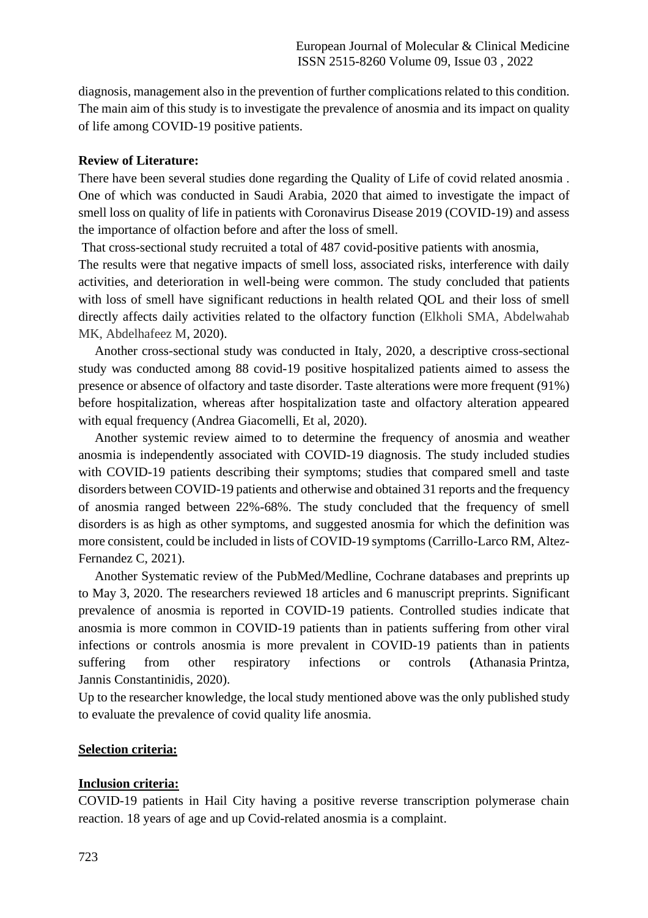diagnosis, management also in the prevention of further complications related to this condition. The main aim of this study is to investigate the prevalence of anosmia and its impact on quality of life among COVID-19 positive patients.

#### **Review of Literature:**

There have been several studies done regarding the Quality of Life of covid related anosmia . One of which was conducted in Saudi Arabia, 2020 that aimed to investigate the impact of smell loss on quality of life in patients with Coronavirus Disease 2019 (COVID-19) and assess the importance of olfaction before and after the loss of smell.

That cross-sectional study recruited a total of 487 covid-positive patients with anosmia,

The results were that negative impacts of smell loss, associated risks, interference with daily activities, and deterioration in well-being were common. The study concluded that patients with loss of smell have significant reductions in health related QOL and their loss of smell directly affects daily activities related to the olfactory function (Elkholi SMA, Abdelwahab MK, Abdelhafeez M, 2020).

 Another cross-sectional study was conducted in Italy, 2020, a descriptive cross-sectional study was conducted among 88 covid-19 positive hospitalized patients aimed to assess the presence or absence of olfactory and taste disorder. Taste alterations were more frequent (91%) before hospitalization, whereas after hospitalization taste and olfactory alteration appeared with equal frequency (Andrea Giacomelli, Et al, 2020).

 Another systemic review aimed to to determine the frequency of anosmia and weather anosmia is independently associated with COVID-19 diagnosis. The study included studies with COVID-19 patients describing their symptoms; studies that compared smell and taste disorders between COVID-19 patients and otherwise and obtained 31 reports and the frequency of anosmia ranged between 22%-68%. The study concluded that the frequency of smell disorders is as high as other symptoms, and suggested anosmia for which the definition was more consistent, could be included in lists of COVID-19 symptoms (Carrillo-Larco RM, Altez-Fernandez C, 2021).

 Another Systematic review of the PubMed/Medline, Cochrane databases and preprints up to May 3, 2020. The researchers reviewed 18 articles and 6 manuscript preprints. Significant prevalence of anosmia is reported in COVID-19 patients. Controlled studies indicate that anosmia is more common in COVID-19 patients than in patients suffering from other viral infections or controls anosmia is more prevalent in COVID-19 patients than in patients suffering from other respiratory infections or controls **(**Athanasia Printza, Jannis Constantinidis, 2020).

Up to the researcher knowledge, the local study mentioned above was the only published study to evaluate the prevalence of covid quality life anosmia.

# **Selection criteria:**

# **Inclusion criteria:**

COVID-19 patients in Hail City having a positive reverse transcription polymerase chain reaction. 18 years of age and up Covid-related anosmia is a complaint.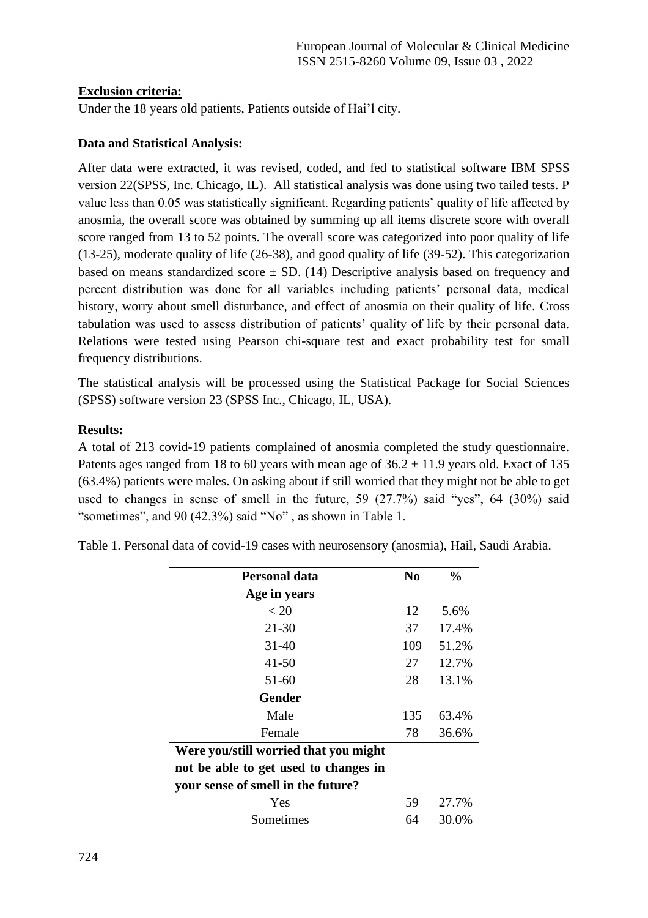# **Exclusion criteria:**

Under the 18 years old patients, Patients outside of Hai'l city.

#### **Data and Statistical Analysis:**

After data were extracted, it was revised, coded, and fed to statistical software IBM SPSS version 22(SPSS, Inc. Chicago, IL). All statistical analysis was done using two tailed tests. P value less than 0.05 was statistically significant. Regarding patients' quality of life affected by anosmia, the overall score was obtained by summing up all items discrete score with overall score ranged from 13 to 52 points. The overall score was categorized into poor quality of life (13-25), moderate quality of life (26-38), and good quality of life (39-52). This categorization based on means standardized score  $\pm$  SD. (14) Descriptive analysis based on frequency and percent distribution was done for all variables including patients' personal data, medical history, worry about smell disturbance, and effect of anosmia on their quality of life. Cross tabulation was used to assess distribution of patients' quality of life by their personal data. Relations were tested using Pearson chi-square test and exact probability test for small frequency distributions.

The statistical analysis will be processed using the Statistical Package for Social Sciences (SPSS) software version 23 (SPSS Inc., Chicago, IL, USA).

#### **Results:**

A total of 213 covid-19 patients complained of anosmia completed the study questionnaire. Patents ages ranged from 18 to 60 years with mean age of  $36.2 \pm 11.9$  years old. Exact of 135 (63.4%) patients were males. On asking about if still worried that they might not be able to get used to changes in sense of smell in the future, 59 (27.7%) said "yes", 64 (30%) said "sometimes", and 90 (42.3%) said "No", as shown in Table 1.

| Personal data                         | N <sub>0</sub> | $\frac{0}{0}$ |
|---------------------------------------|----------------|---------------|
| Age in years                          |                |               |
| < 20                                  | 12             | 5.6%          |
| $21 - 30$                             | 37             | 17.4%         |
| $31 - 40$                             | 109            | 51.2%         |
| 41-50                                 | 27             | 12.7%         |
| 51-60                                 | 28             | 13.1%         |
| Gender                                |                |               |
| Male                                  | 135            | 63.4%         |
| Female                                | 78             | 36.6%         |
| Were you/still worried that you might |                |               |
| not be able to get used to changes in |                |               |
| your sense of smell in the future?    |                |               |
| Yes                                   | 59             | 27.7%         |
| Sometimes                             | 64             | 30.0%         |
|                                       |                |               |

Table 1. Personal data of covid-19 cases with neurosensory (anosmia), Hail, Saudi Arabia.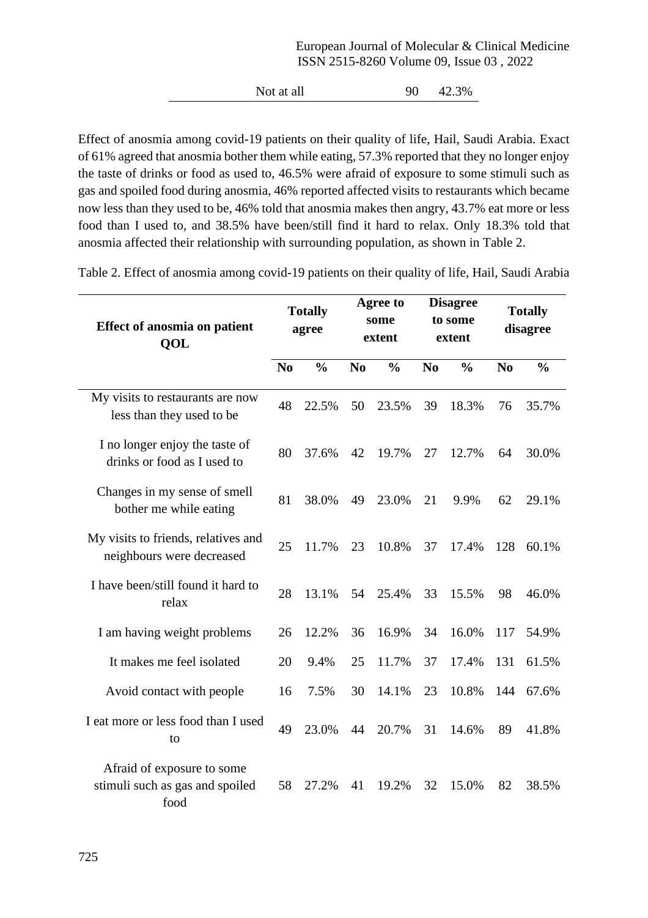Not at all 90 42.3%

Effect of anosmia among covid-19 patients on their quality of life, Hail, Saudi Arabia. Exact of 61% agreed that anosmia bother them while eating, 57.3% reported that they no longer enjoy the taste of drinks or food as used to, 46.5% were afraid of exposure to some stimuli such as gas and spoiled food during anosmia, 46% reported affected visits to restaurants which became now less than they used to be, 46% told that anosmia makes then angry, 43.7% eat more or less food than I used to, and 38.5% have been/still find it hard to relax. Only 18.3% told that anosmia affected their relationship with surrounding population, as shown in Table 2.

| <b>Effect of anosmia on patient</b><br>QOL                            |                                                                    | <b>Totally</b><br>agree |    | Agree to<br>some<br>extent      | <b>Disagree</b><br>to some<br>extent |                | <b>Totally</b><br>disagree |       |
|-----------------------------------------------------------------------|--------------------------------------------------------------------|-------------------------|----|---------------------------------|--------------------------------------|----------------|----------------------------|-------|
|                                                                       | $\frac{0}{0}$<br>$\frac{0}{0}$<br>N <sub>o</sub><br>N <sub>0</sub> |                         |    | $\frac{0}{0}$<br>N <sub>0</sub> |                                      | N <sub>0</sub> | $\frac{0}{0}$              |       |
| My visits to restaurants are now<br>less than they used to be         | 48                                                                 | 22.5%                   | 50 | 23.5%                           | 39                                   | 18.3%          | 76                         | 35.7% |
| I no longer enjoy the taste of<br>drinks or food as I used to         | 80                                                                 | 37.6%                   | 42 | 19.7%                           | 27                                   | 12.7%          | 64                         | 30.0% |
| Changes in my sense of smell<br>bother me while eating                | 81                                                                 | 38.0%                   | 49 | 23.0%                           | 21                                   | 9.9%           | 62                         | 29.1% |
| My visits to friends, relatives and<br>neighbours were decreased      | 25                                                                 | 11.7%                   | 23 | 10.8%                           | 37                                   | 17.4%          | 128                        | 60.1% |
| I have been/still found it hard to<br>relax                           | 28                                                                 | 13.1%                   | 54 | 25.4%                           | 33                                   | 15.5%          | 98                         | 46.0% |
| I am having weight problems                                           | 26                                                                 | 12.2%                   | 36 | 16.9%                           | 34                                   | 16.0%          | 117                        | 54.9% |
| It makes me feel isolated                                             | 20                                                                 | 9.4%                    | 25 | 11.7%                           | 37                                   | 17.4%          | 131                        | 61.5% |
| Avoid contact with people                                             | 16                                                                 | 7.5%                    | 30 | 14.1%                           | 23                                   | 10.8%          | 144                        | 67.6% |
| I eat more or less food than I used<br>to                             | 49                                                                 | 23.0%                   | 44 | 20.7%                           | 31                                   | 14.6%          | 89                         | 41.8% |
| Afraid of exposure to some<br>stimuli such as gas and spoiled<br>food | 58                                                                 | 27.2%                   | 41 | 19.2%                           | 32                                   | 15.0%          | 82                         | 38.5% |

Table 2. Effect of anosmia among covid-19 patients on their quality of life, Hail, Saudi Arabia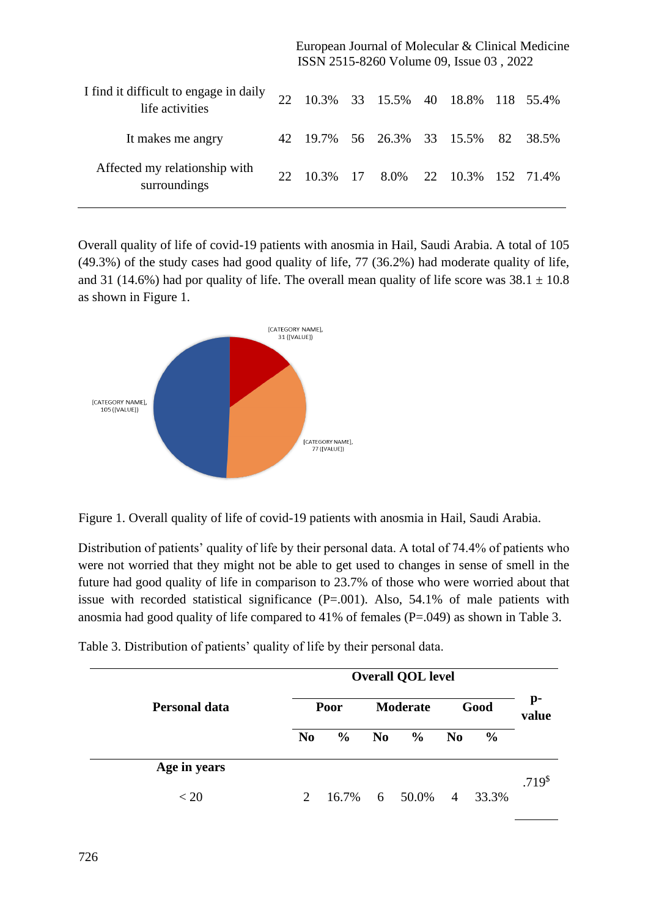European Journal of Molecular & Clinical Medicine ISSN 2515-8260 Volume 09, Issue 03 , 2022

| I find it difficult to engage in daily<br>life activities | 22              |  | 10.3% 33 15.5% 40 18.8% 118 55.4%   |  |  |
|-----------------------------------------------------------|-----------------|--|-------------------------------------|--|--|
| It makes me angry                                         |                 |  | 42 19.7% 56 26.3% 33 15.5% 82 38.5% |  |  |
| Affected my relationship with<br>surroundings             | 22 <sub>1</sub> |  | 10.3% 17 8.0% 22 10.3% 152 71.4%    |  |  |

Overall quality of life of covid-19 patients with anosmia in Hail, Saudi Arabia. A total of 105 (49.3%) of the study cases had good quality of life, 77 (36.2%) had moderate quality of life, and 31 (14.6%) had por quality of life. The overall mean quality of life score was  $38.1 \pm 10.8$ as shown in Figure 1.



Figure 1. Overall quality of life of covid-19 patients with anosmia in Hail, Saudi Arabia.

Distribution of patients' quality of life by their personal data. A total of 74.4% of patients who were not worried that they might not be able to get used to changes in sense of smell in the future had good quality of life in comparison to 23.7% of those who were worried about that issue with recorded statistical significance  $(P=.001)$ . Also, 54.1% of male patients with anosmia had good quality of life compared to 41% of females (P=.049) as shown in Table 3.

| <b>Personal data</b> | <b>Overall QOL level</b> |               |                |                 |                |               |                   |  |
|----------------------|--------------------------|---------------|----------------|-----------------|----------------|---------------|-------------------|--|
|                      |                          | Poor          |                | <b>Moderate</b> | Good           |               | p-<br>value       |  |
|                      | N <sub>0</sub>           | $\frac{0}{0}$ | N <sub>0</sub> | $\frac{0}{0}$   | No             | $\frac{6}{6}$ |                   |  |
| Age in years         |                          |               |                |                 |                |               |                   |  |
| < 20                 | $\mathcal{D}_{\cdot}$    | 16.7%         |                | 6 50.0%         | $\overline{4}$ | 33.3%         | .719 <sup>8</sup> |  |

Table 3. Distribution of patients' quality of life by their personal data.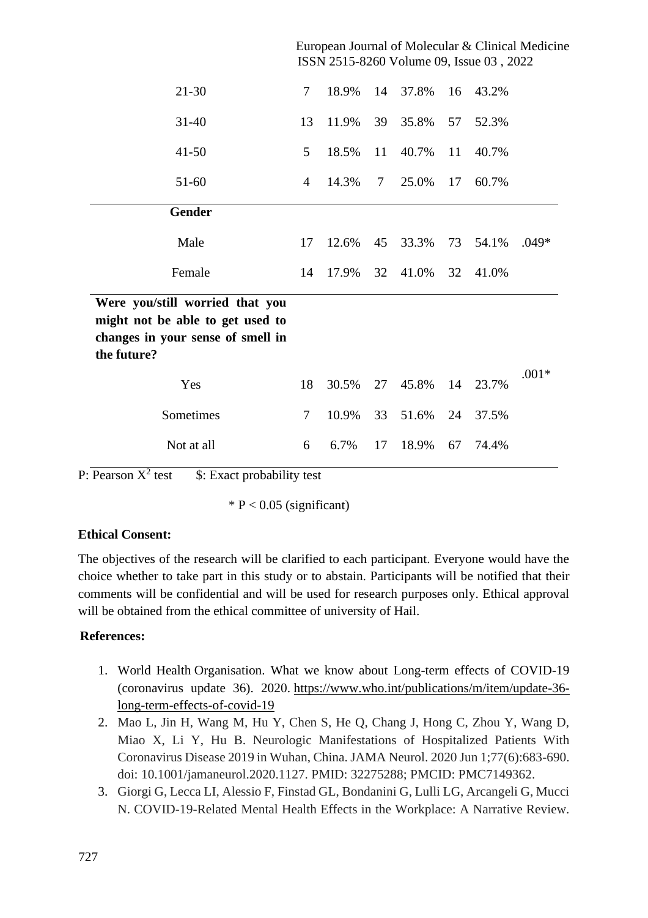|                                                                                                                         | European Journal of Molecular & Clinical Medicine<br>ISSN 2515-8260 Volume 09, Issue 03, 2022 |       |        |       |    |       |         |  |  |
|-------------------------------------------------------------------------------------------------------------------------|-----------------------------------------------------------------------------------------------|-------|--------|-------|----|-------|---------|--|--|
| 21-30                                                                                                                   | $\overline{7}$                                                                                | 18.9% | 14     | 37.8% | 16 | 43.2% |         |  |  |
| $31 - 40$                                                                                                               | 13                                                                                            | 11.9% | 39     | 35.8% | 57 | 52.3% |         |  |  |
| $41 - 50$                                                                                                               | 5                                                                                             | 18.5% | 11     | 40.7% | 11 | 40.7% |         |  |  |
| 51-60                                                                                                                   | $\overline{4}$                                                                                | 14.3% | $\tau$ | 25.0% | 17 | 60.7% |         |  |  |
| <b>Gender</b>                                                                                                           |                                                                                               |       |        |       |    |       |         |  |  |
| Male                                                                                                                    | 17                                                                                            | 12.6% | 45     | 33.3% | 73 | 54.1% | $.049*$ |  |  |
| Female                                                                                                                  | 14                                                                                            | 17.9% | 32     | 41.0% | 32 | 41.0% |         |  |  |
| Were you/still worried that you<br>might not be able to get used to<br>changes in your sense of smell in<br>the future? |                                                                                               |       |        |       |    |       |         |  |  |
| Yes                                                                                                                     | 18                                                                                            | 30.5% | 27     | 45.8% | 14 | 23.7% | $.001*$ |  |  |
| Sometimes                                                                                                               | 7                                                                                             | 10.9% | 33     | 51.6% | 24 | 37.5% |         |  |  |
| Not at all                                                                                                              | 6                                                                                             | 6.7%  | 17     | 18.9% | 67 | 74.4% |         |  |  |

P: Pearson  $X^2$  test \$: Exact probability test

 $* P < 0.05$  (significant)

# **Ethical Consent:**

The objectives of the research will be clarified to each participant. Everyone would have the choice whether to take part in this study or to abstain. Participants will be notified that their comments will be confidential and will be used for research purposes only. Ethical approval will be obtained from the ethical committee of university of Hail.

# **References:**

- 1. World Health Organisation. What we know about Long-term effects of COVID-19 (coronavirus update 36). 2020. [https://www.who.int/publications/m/item/update-36](https://www.who.int/publications/m/item/update-36-long-term-effects-of-covid-19) [long-term-effects-of-covid-19](https://www.who.int/publications/m/item/update-36-long-term-effects-of-covid-19)
- 2. Mao L, Jin H, Wang M, Hu Y, Chen S, He Q, Chang J, Hong C, Zhou Y, Wang D, Miao X, Li Y, Hu B. Neurologic Manifestations of Hospitalized Patients With Coronavirus Disease 2019 in Wuhan, China. JAMA Neurol. 2020 Jun 1;77(6):683-690. doi: 10.1001/jamaneurol.2020.1127. PMID: 32275288; PMCID: PMC7149362.
- 3. Giorgi G, Lecca LI, Alessio F, Finstad GL, Bondanini G, Lulli LG, Arcangeli G, Mucci N. COVID-19-Related Mental Health Effects in the Workplace: A Narrative Review.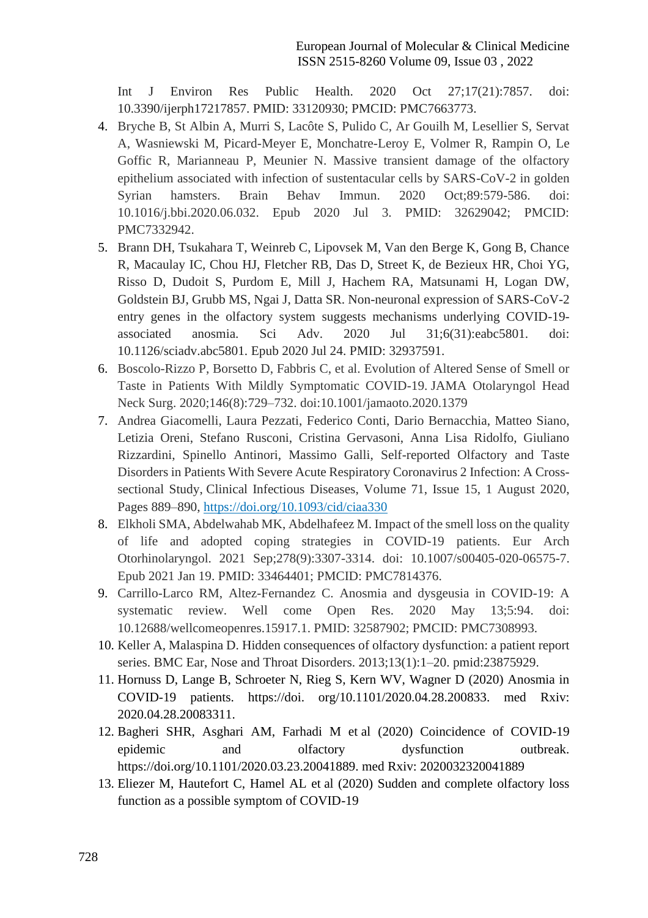Int J Environ Res Public Health. 2020 Oct 27;17(21):7857. doi: 10.3390/ijerph17217857. PMID: 33120930; PMCID: PMC7663773.

- 4. Bryche B, St Albin A, Murri S, Lacôte S, Pulido C, Ar Gouilh M, Lesellier S, Servat A, Wasniewski M, Picard-Meyer E, Monchatre-Leroy E, Volmer R, Rampin O, Le Goffic R, Marianneau P, Meunier N. Massive transient damage of the olfactory epithelium associated with infection of sustentacular cells by SARS-CoV-2 in golden Syrian hamsters. Brain Behav Immun. 2020 Oct;89:579-586. doi: 10.1016/j.bbi.2020.06.032. Epub 2020 Jul 3. PMID: 32629042; PMCID: PMC7332942.
- 5. Brann DH, Tsukahara T, Weinreb C, Lipovsek M, Van den Berge K, Gong B, Chance R, Macaulay IC, Chou HJ, Fletcher RB, Das D, Street K, de Bezieux HR, Choi YG, Risso D, Dudoit S, Purdom E, Mill J, Hachem RA, Matsunami H, Logan DW, Goldstein BJ, Grubb MS, Ngai J, Datta SR. Non-neuronal expression of SARS-CoV-2 entry genes in the olfactory system suggests mechanisms underlying COVID-19 associated anosmia. Sci Adv. 2020 Jul 31;6(31):eabc5801. doi: 10.1126/sciadv.abc5801. Epub 2020 Jul 24. PMID: 32937591.
- 6. Boscolo-Rizzo P, Borsetto D, Fabbris C, et al. Evolution of Altered Sense of Smell or Taste in Patients With Mildly Symptomatic COVID-19. JAMA Otolaryngol Head Neck Surg. 2020;146(8):729–732. doi:10.1001/jamaoto.2020.1379
- 7. Andrea Giacomelli, Laura Pezzati, Federico Conti, Dario Bernacchia, Matteo Siano, Letizia Oreni, Stefano Rusconi, Cristina Gervasoni, Anna Lisa Ridolfo, Giuliano Rizzardini, Spinello Antinori, Massimo Galli, Self-reported Olfactory and Taste Disorders in Patients With Severe Acute Respiratory Coronavirus 2 Infection: A Crosssectional Study, Clinical Infectious Diseases, Volume 71, Issue 15, 1 August 2020, Pages 889–890, <https://doi.org/10.1093/cid/ciaa330>
- 8. Elkholi SMA, Abdelwahab MK, Abdelhafeez M. Impact of the smell loss on the quality of life and adopted coping strategies in COVID-19 patients. Eur Arch Otorhinolaryngol. 2021 Sep;278(9):3307-3314. doi: 10.1007/s00405-020-06575-7. Epub 2021 Jan 19. PMID: 33464401; PMCID: PMC7814376.
- 9. Carrillo-Larco RM, Altez-Fernandez C. Anosmia and dysgeusia in COVID-19: A systematic review. Well come Open Res. 2020 May 13;5:94. doi: 10.12688/wellcomeopenres.15917.1. PMID: 32587902; PMCID: PMC7308993.
- 10. Keller A, Malaspina D. Hidden consequences of olfactory dysfunction: a patient report series. BMC Ear, Nose and Throat Disorders. 2013;13(1):1–20. pmid:23875929.
- 11. Hornuss D, Lange B, Schroeter N, Rieg S, Kern WV, Wagner D (2020) Anosmia in COVID-19 patients. https://doi. org/10.1101/2020.04.28.200833. med Rxiv: 2020.04.28.20083311.
- 12. Bagheri SHR, Asghari AM, Farhadi M et al (2020) Coincidence of COVID-19 epidemic and olfactory dysfunction outbreak. https://doi.org/10.1101/2020.03.23.20041889. med Rxiv: 2020032320041889
- 13. Eliezer M, Hautefort C, Hamel AL et al (2020) Sudden and complete olfactory loss function as a possible symptom of COVID-19